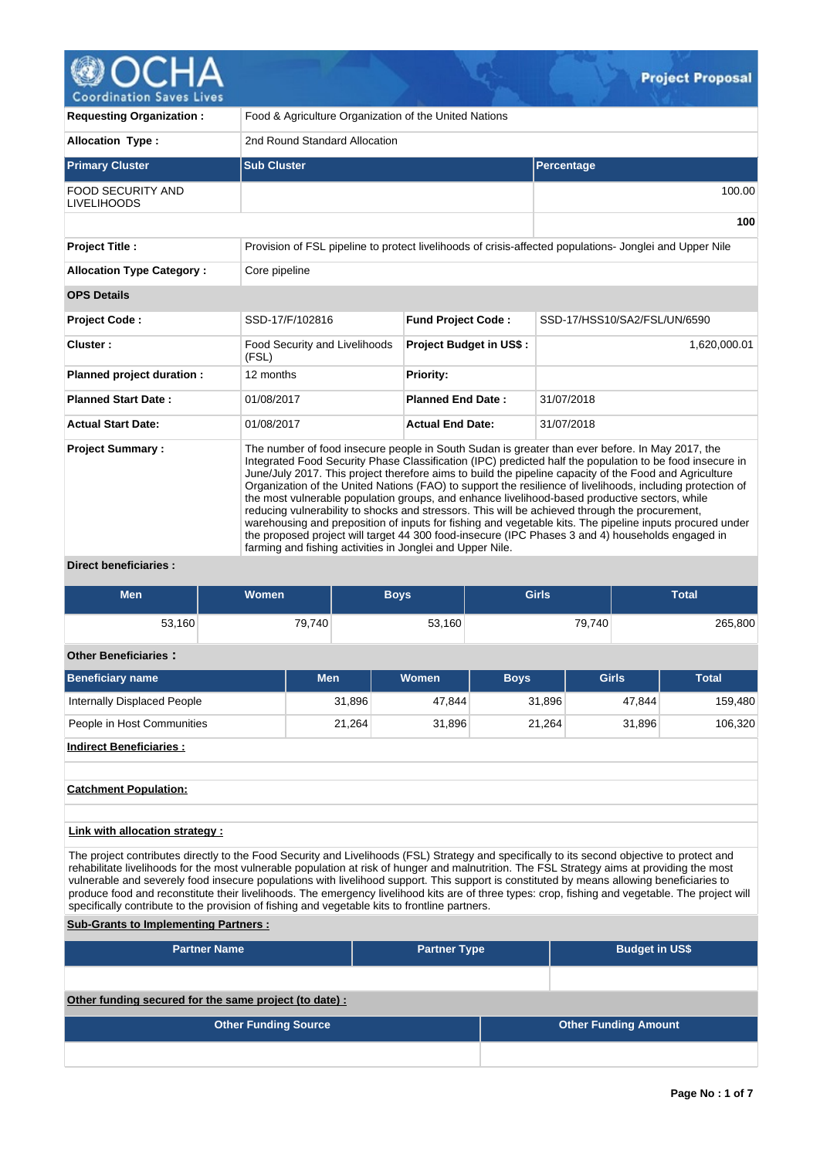

| <b>Requesting Organization:</b>                              | Food & Agriculture Organization of the United Nations     |                                |                                                                                                                                                                                                                                                                                                                                                                                                                                                                                                                                                                                                                                                                                                                                                                                                                                                        |  |  |  |  |  |  |
|--------------------------------------------------------------|-----------------------------------------------------------|--------------------------------|--------------------------------------------------------------------------------------------------------------------------------------------------------------------------------------------------------------------------------------------------------------------------------------------------------------------------------------------------------------------------------------------------------------------------------------------------------------------------------------------------------------------------------------------------------------------------------------------------------------------------------------------------------------------------------------------------------------------------------------------------------------------------------------------------------------------------------------------------------|--|--|--|--|--|--|
| <b>Allocation Type:</b>                                      | 2nd Round Standard Allocation                             |                                |                                                                                                                                                                                                                                                                                                                                                                                                                                                                                                                                                                                                                                                                                                                                                                                                                                                        |  |  |  |  |  |  |
| <b>Primary Cluster</b>                                       | <b>Sub Cluster</b>                                        |                                | Percentage                                                                                                                                                                                                                                                                                                                                                                                                                                                                                                                                                                                                                                                                                                                                                                                                                                             |  |  |  |  |  |  |
| <b>FOOD SECURITY AND</b><br><b>LIVELIHOODS</b>               |                                                           |                                | 100.00                                                                                                                                                                                                                                                                                                                                                                                                                                                                                                                                                                                                                                                                                                                                                                                                                                                 |  |  |  |  |  |  |
|                                                              |                                                           |                                | 100                                                                                                                                                                                                                                                                                                                                                                                                                                                                                                                                                                                                                                                                                                                                                                                                                                                    |  |  |  |  |  |  |
| <b>Project Title:</b>                                        |                                                           |                                | Provision of FSL pipeline to protect livelihoods of crisis-affected populations- Jonglei and Upper Nile                                                                                                                                                                                                                                                                                                                                                                                                                                                                                                                                                                                                                                                                                                                                                |  |  |  |  |  |  |
| <b>Allocation Type Category:</b>                             | Core pipeline                                             |                                |                                                                                                                                                                                                                                                                                                                                                                                                                                                                                                                                                                                                                                                                                                                                                                                                                                                        |  |  |  |  |  |  |
| <b>OPS Details</b>                                           |                                                           |                                |                                                                                                                                                                                                                                                                                                                                                                                                                                                                                                                                                                                                                                                                                                                                                                                                                                                        |  |  |  |  |  |  |
| <b>Project Code:</b>                                         | SSD-17/F/102816                                           | <b>Fund Project Code:</b>      | SSD-17/HSS10/SA2/FSL/UN/6590                                                                                                                                                                                                                                                                                                                                                                                                                                                                                                                                                                                                                                                                                                                                                                                                                           |  |  |  |  |  |  |
| Cluster:                                                     | Food Security and Livelihoods<br>(FSL)                    | <b>Project Budget in US\$:</b> | 1,620,000.01                                                                                                                                                                                                                                                                                                                                                                                                                                                                                                                                                                                                                                                                                                                                                                                                                                           |  |  |  |  |  |  |
| Planned project duration :                                   | 12 months                                                 | <b>Priority:</b>               |                                                                                                                                                                                                                                                                                                                                                                                                                                                                                                                                                                                                                                                                                                                                                                                                                                                        |  |  |  |  |  |  |
| <b>Planned Start Date:</b>                                   | 01/08/2017                                                | <b>Planned End Date:</b>       | 31/07/2018                                                                                                                                                                                                                                                                                                                                                                                                                                                                                                                                                                                                                                                                                                                                                                                                                                             |  |  |  |  |  |  |
| <b>Actual Start Date:</b>                                    | 01/08/2017                                                | <b>Actual End Date:</b>        | 31/07/2018                                                                                                                                                                                                                                                                                                                                                                                                                                                                                                                                                                                                                                                                                                                                                                                                                                             |  |  |  |  |  |  |
| <b>Project Summary:</b><br>Police and the control of a final | farming and fishing activities in Jonglei and Upper Nile. |                                | The number of food insecure people in South Sudan is greater than ever before. In May 2017, the<br>Integrated Food Security Phase Classification (IPC) predicted half the population to be food insecure in<br>June/July 2017. This project therefore aims to build the pipeline capacity of the Food and Agriculture<br>Organization of the United Nations (FAO) to support the resilience of livelihoods, including protection of<br>the most vulnerable population groups, and enhance livelihood-based productive sectors, while<br>reducing vulnerability to shocks and stressors. This will be achieved through the procurement,<br>warehousing and preposition of inputs for fishing and vegetable kits. The pipeline inputs procured under<br>the proposed project will target 44 300 food-insecure (IPC Phases 3 and 4) households engaged in |  |  |  |  |  |  |

**Direct beneficiaries :**

| Men    | Women  | 3ovs   | <b>Girls</b> | <b>Total</b> |
|--------|--------|--------|--------------|--------------|
| 53,160 | 79,740 | 53,160 | 79,740       | ,800<br>265  |

## **Other Beneficiaries :**

| Beneficiary name            | Men    | <b>Women</b> | <b>Boys</b> | Girls  | <b>Total</b> |
|-----------------------------|--------|--------------|-------------|--------|--------------|
| Internally Displaced People | 31,896 | 47.844       | 31.896      | 47.844 | 159,480      |
| People in Host Communities  | 21.264 | 31.896       | 21.264      | 31,896 | 106,320      |

**Indirect Beneficiaries :**

## **Catchment Population:**

## **Link with allocation strategy :**

The project contributes directly to the Food Security and Livelihoods (FSL) Strategy and specifically to its second objective to protect and rehabilitate livelihoods for the most vulnerable population at risk of hunger and malnutrition. The FSL Strategy aims at providing the most vulnerable and severely food insecure populations with livelihood support. This support is constituted by means allowing beneficiaries to produce food and reconstitute their livelihoods. The emergency livelihood kits are of three types: crop, fishing and vegetable. The project will specifically contribute to the provision of fishing and vegetable kits to frontline partners.

## **Sub-Grants to Implementing Partners :**

| <b>Partner Name</b>                                   | <b>Partner Type</b> |  | <b>Budget in US\$</b>       |
|-------------------------------------------------------|---------------------|--|-----------------------------|
|                                                       |                     |  |                             |
| Other funding secured for the same project (to date): |                     |  |                             |
| <b>Other Funding Source</b>                           |                     |  | <b>Other Funding Amount</b> |
|                                                       |                     |  |                             |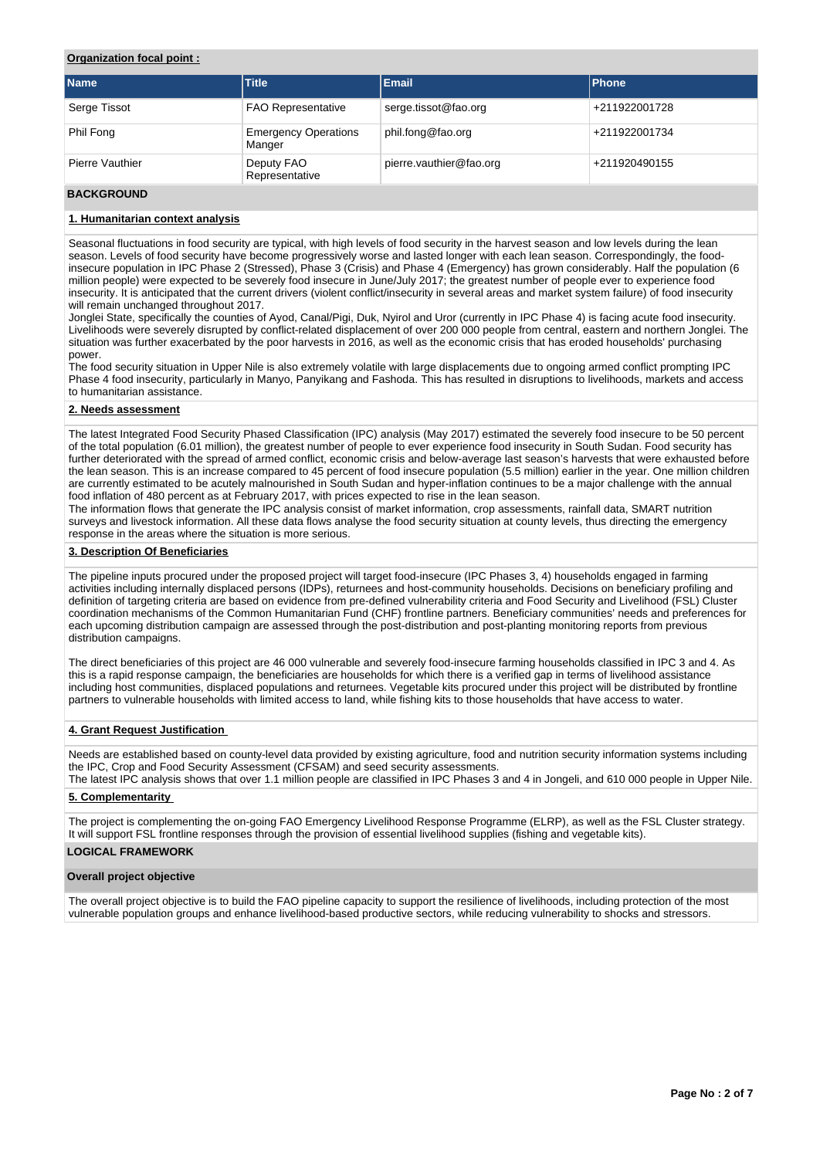## **Organization focal point :**

| <b>Name</b>     | <b>Title</b>                          | <b>Email</b>            | <b>Phone</b>  |
|-----------------|---------------------------------------|-------------------------|---------------|
| Serge Tissot    | <b>FAO Representative</b>             | serge.tissot@fao.org    | +211922001728 |
| Phil Fong       | <b>Emergency Operations</b><br>Manger | phil.fong@fao.org       | +211922001734 |
| Pierre Vauthier | Deputy FAO<br>Representative          | pierre.vauthier@fao.org | +211920490155 |

## **BACKGROUND**

## **1. Humanitarian context analysis**

Seasonal fluctuations in food security are typical, with high levels of food security in the harvest season and low levels during the lean season. Levels of food security have become progressively worse and lasted longer with each lean season. Correspondingly, the foodinsecure population in IPC Phase 2 (Stressed), Phase 3 (Crisis) and Phase 4 (Emergency) has grown considerably. Half the population (6 million people) were expected to be severely food insecure in June/July 2017; the greatest number of people ever to experience food insecurity. It is anticipated that the current drivers (violent conflict/insecurity in several areas and market system failure) of food insecurity will remain unchanged throughout 2017.

Jonglei State, specifically the counties of Ayod, Canal/Pigi, Duk, Nyirol and Uror (currently in IPC Phase 4) is facing acute food insecurity. Livelihoods were severely disrupted by conflict-related displacement of over 200 000 people from central, eastern and northern Jonglei. The situation was further exacerbated by the poor harvests in 2016, as well as the economic crisis that has eroded households' purchasing power.

The food security situation in Upper Nile is also extremely volatile with large displacements due to ongoing armed conflict prompting IPC Phase 4 food insecurity, particularly in Manyo, Panyikang and Fashoda. This has resulted in disruptions to livelihoods, markets and access to humanitarian assistance.

## **2. Needs assessment**

The latest Integrated Food Security Phased Classification (IPC) analysis (May 2017) estimated the severely food insecure to be 50 percent of the total population (6.01 million), the greatest number of people to ever experience food insecurity in South Sudan. Food security has further deteriorated with the spread of armed conflict, economic crisis and below-average last season's harvests that were exhausted before the lean season. This is an increase compared to 45 percent of food insecure population (5.5 million) earlier in the year. One million children are currently estimated to be acutely malnourished in South Sudan and hyper-inflation continues to be a major challenge with the annual food inflation of 480 percent as at February 2017, with prices expected to rise in the lean season.

The information flows that generate the IPC analysis consist of market information, crop assessments, rainfall data, SMART nutrition surveys and livestock information. All these data flows analyse the food security situation at county levels, thus directing the emergency response in the areas where the situation is more serious.

### **3. Description Of Beneficiaries**

The pipeline inputs procured under the proposed project will target food-insecure (IPC Phases 3, 4) households engaged in farming activities including internally displaced persons (IDPs), returnees and host-community households. Decisions on beneficiary profiling and definition of targeting criteria are based on evidence from pre-defined vulnerability criteria and Food Security and Livelihood (FSL) Cluster coordination mechanisms of the Common Humanitarian Fund (CHF) frontline partners. Beneficiary communities' needs and preferences for each upcoming distribution campaign are assessed through the post-distribution and post-planting monitoring reports from previous distribution campaigns.

The direct beneficiaries of this project are 46 000 vulnerable and severely food-insecure farming households classified in IPC 3 and 4. As this is a rapid response campaign, the beneficiaries are households for which there is a verified gap in terms of livelihood assistance including host communities, displaced populations and returnees. Vegetable kits procured under this project will be distributed by frontline partners to vulnerable households with limited access to land, while fishing kits to those households that have access to water.

## **4. Grant Request Justification**

Needs are established based on county-level data provided by existing agriculture, food and nutrition security information systems including the IPC, Crop and Food Security Assessment (CFSAM) and seed security assessments.

The latest IPC analysis shows that over 1.1 million people are classified in IPC Phases 3 and 4 in Jongeli, and 610 000 people in Upper Nile.

# **5. Complementarity**

The project is complementing the on-going FAO Emergency Livelihood Response Programme (ELRP), as well as the FSL Cluster strategy. It will support FSL frontline responses through the provision of essential livelihood supplies (fishing and vegetable kits).

# **LOGICAL FRAMEWORK**

### **Overall project objective**

The overall project objective is to build the FAO pipeline capacity to support the resilience of livelihoods, including protection of the most vulnerable population groups and enhance livelihood-based productive sectors, while reducing vulnerability to shocks and stressors.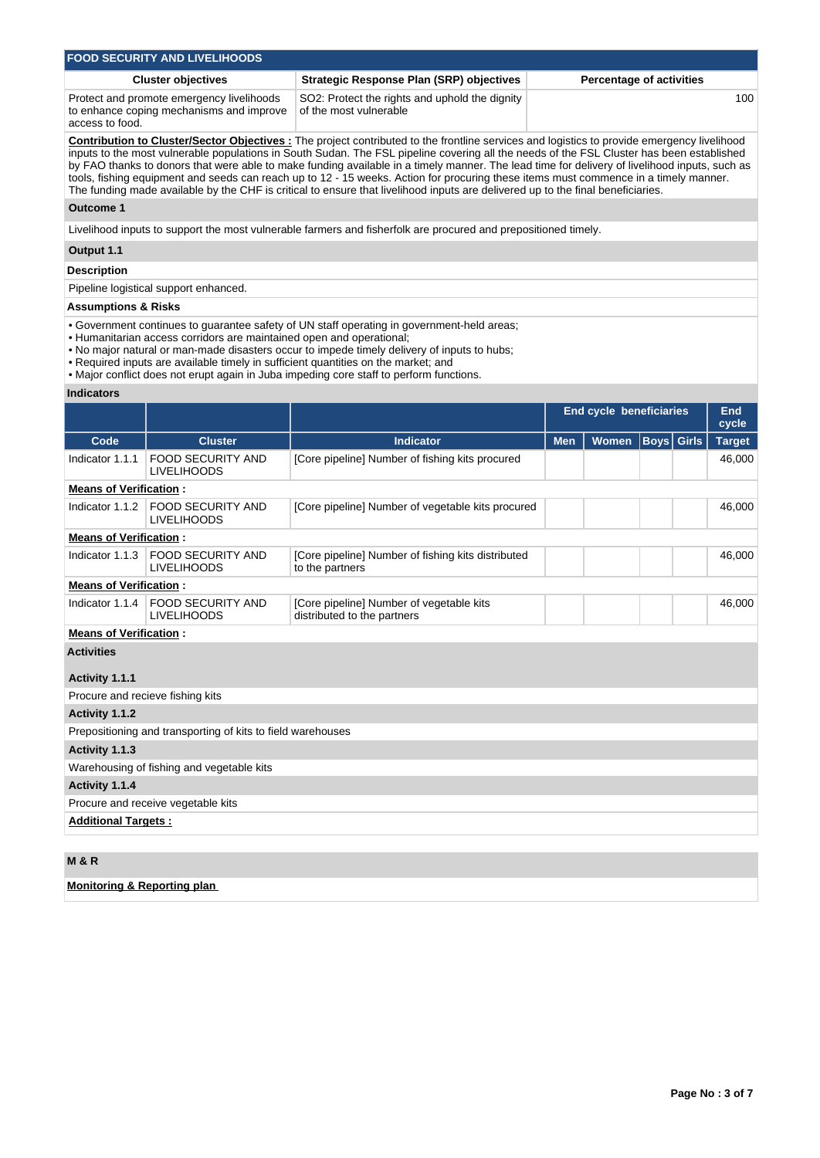| <b>FOOD SECURITY AND LIVELIHOODS</b>      |                                                |                                 |  |  |  |  |  |  |
|-------------------------------------------|------------------------------------------------|---------------------------------|--|--|--|--|--|--|
| <b>Cluster objectives</b>                 | Strategic Response Plan (SRP) objectives       | <b>Percentage of activities</b> |  |  |  |  |  |  |
| Protect and promote emergency livelihoods | SO2: Protect the rights and uphold the dignity | 100                             |  |  |  |  |  |  |

to enhance coping mechanisms and improve of the most vulnerable access to food.

**Contribution to Cluster/Sector Objectives :** The project contributed to the frontline services and logistics to provide emergency livelihood inputs to the most vulnerable populations in South Sudan. The FSL pipeline covering all the needs of the FSL Cluster has been established by FAO thanks to donors that were able to make funding available in a timely manner. The lead time for delivery of livelihood inputs, such as tools, fishing equipment and seeds can reach up to 12 - 15 weeks. Action for procuring these items must commence in a timely manner. The funding made available by the CHF is critical to ensure that livelihood inputs are delivered up to the final beneficiaries.

## **Outcome 1**

Livelihood inputs to support the most vulnerable farmers and fisherfolk are procured and prepositioned timely.

## **Output 1.1**

## **Description**

Pipeline logistical support enhanced.

## **Assumptions & Risks**

• Government continues to guarantee safety of UN staff operating in government-held areas;

- Humanitarian access corridors are maintained open and operational;
- No major natural or man-made disasters occur to impede timely delivery of inputs to hubs;
- Required inputs are available timely in sufficient quantities on the market; and
- Major conflict does not erupt again in Juba impeding core staff to perform functions.

## **Indicators**

|                                  |                                                             |                                                                         |            | <b>End cycle beneficiaries</b> |                   | <b>End</b><br>cycle |
|----------------------------------|-------------------------------------------------------------|-------------------------------------------------------------------------|------------|--------------------------------|-------------------|---------------------|
| Code                             | <b>Cluster</b>                                              | <b>Indicator</b>                                                        | <b>Men</b> | <b>Women</b>                   | <b>Boys</b> Girls | <b>Target</b>       |
| Indicator 1.1.1                  | <b>FOOD SECURITY AND</b><br><b>LIVELIHOODS</b>              | [Core pipeline] Number of fishing kits procured                         |            |                                |                   | 46,000              |
| <b>Means of Verification:</b>    |                                                             |                                                                         |            |                                |                   |                     |
| Indicator 1.1.2                  | <b>FOOD SECURITY AND</b><br><b>LIVELIHOODS</b>              | [Core pipeline] Number of vegetable kits procured                       |            |                                |                   | 46,000              |
| <b>Means of Verification:</b>    |                                                             |                                                                         |            |                                |                   |                     |
| Indicator 1.1.3                  | <b>FOOD SECURITY AND</b><br><b>LIVELIHOODS</b>              | [Core pipeline] Number of fishing kits distributed<br>to the partners   |            |                                |                   | 46,000              |
| <b>Means of Verification:</b>    |                                                             |                                                                         |            |                                |                   |                     |
| Indicator 1.1.4                  | <b>FOOD SECURITY AND</b><br><b>LIVELIHOODS</b>              | [Core pipeline] Number of vegetable kits<br>distributed to the partners |            |                                |                   | 46,000              |
| <b>Means of Verification:</b>    |                                                             |                                                                         |            |                                |                   |                     |
| <b>Activities</b>                |                                                             |                                                                         |            |                                |                   |                     |
| Activity 1.1.1                   |                                                             |                                                                         |            |                                |                   |                     |
| Procure and recieve fishing kits |                                                             |                                                                         |            |                                |                   |                     |
| Activity 1.1.2                   |                                                             |                                                                         |            |                                |                   |                     |
|                                  | Prepositioning and transporting of kits to field warehouses |                                                                         |            |                                |                   |                     |
| Activity 1.1.3                   |                                                             |                                                                         |            |                                |                   |                     |
|                                  | Warehousing of fishing and vegetable kits                   |                                                                         |            |                                |                   |                     |
| Activity 1.1.4                   |                                                             |                                                                         |            |                                |                   |                     |
|                                  | Procure and receive vegetable kits                          |                                                                         |            |                                |                   |                     |
| <b>Additional Targets:</b>       |                                                             |                                                                         |            |                                |                   |                     |
|                                  |                                                             |                                                                         |            |                                |                   |                     |

## **M & R**

**Monitoring & Reporting plan**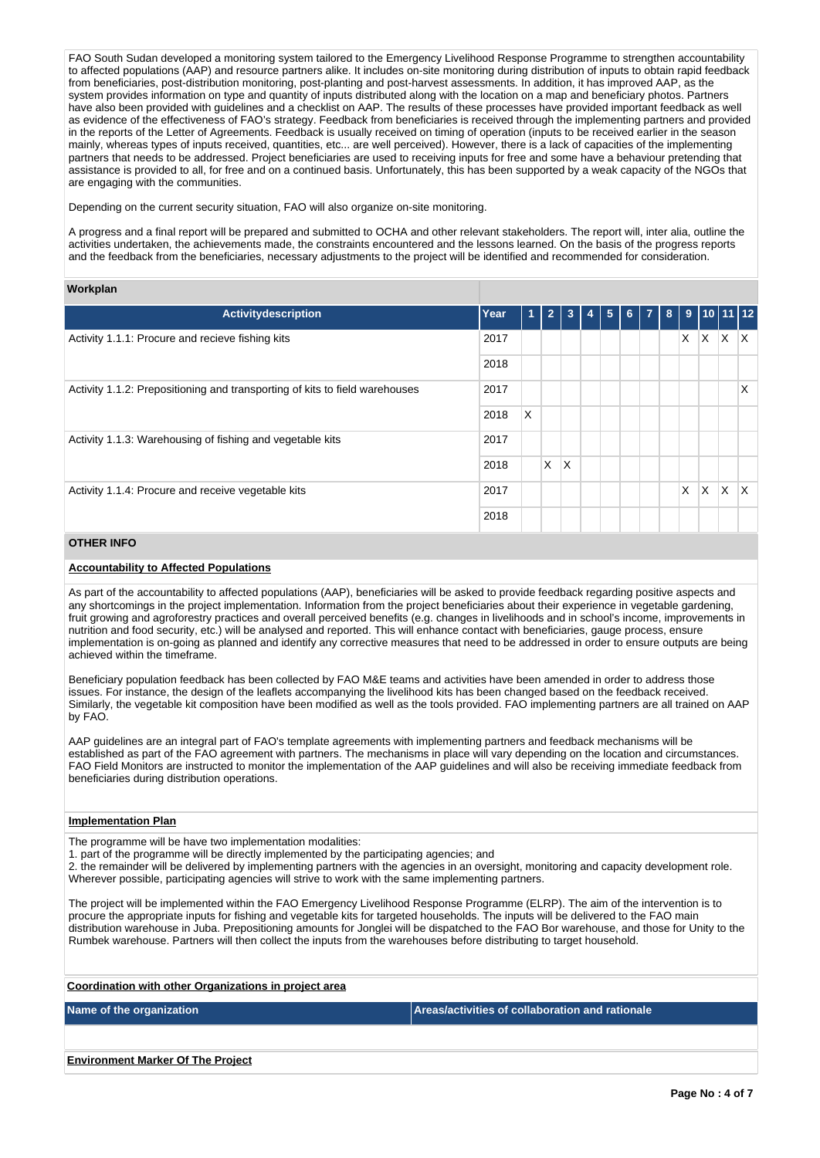FAO South Sudan developed a monitoring system tailored to the Emergency Livelihood Response Programme to strengthen accountability to affected populations (AAP) and resource partners alike. It includes on-site monitoring during distribution of inputs to obtain rapid feedback from beneficiaries, post-distribution monitoring, post-planting and post-harvest assessments. In addition, it has improved AAP, as the system provides information on type and quantity of inputs distributed along with the location on a map and beneficiary photos. Partners have also been provided with guidelines and a checklist on AAP. The results of these processes have provided important feedback as well as evidence of the effectiveness of FAO's strategy. Feedback from beneficiaries is received through the implementing partners and provided in the reports of the Letter of Agreements. Feedback is usually received on timing of operation (inputs to be received earlier in the season mainly, whereas types of inputs received, quantities, etc... are well perceived). However, there is a lack of capacities of the implementing partners that needs to be addressed. Project beneficiaries are used to receiving inputs for free and some have a behaviour pretending that assistance is provided to all, for free and on a continued basis. Unfortunately, this has been supported by a weak capacity of the NGOs that are engaging with the communities.

Depending on the current security situation, FAO will also organize on-site monitoring.

A progress and a final report will be prepared and submitted to OCHA and other relevant stakeholders. The report will, inter alia, outline the activities undertaken, the achievements made, the constraints encountered and the lessons learned. On the basis of the progress reports and the feedback from the beneficiaries, necessary adjustments to the project will be identified and recommended for consideration.

### **Workplan**

| <b>Activitydescription</b>                                                          | Year | 1 | $\overline{2}$ | -3 | 4 | $5\phantom{.0}$ | 6 <sup>1</sup> | $\overline{7}$ | 8 |   | 9 10 11 12 |   |  |
|-------------------------------------------------------------------------------------|------|---|----------------|----|---|-----------------|----------------|----------------|---|---|------------|---|--|
| Activity 1.1.1: Procure and recieve fishing kits<br>2017                            |      |   |                |    |   |                 |                |                | X | X | $\times$   | X |  |
|                                                                                     | 2018 |   |                |    |   |                 |                |                |   |   |            |   |  |
| Activity 1.1.2: Prepositioning and transporting of kits to field warehouses<br>2017 |      |   |                |    |   |                 |                |                |   |   |            | X |  |
|                                                                                     | 2018 | X |                |    |   |                 |                |                |   |   |            |   |  |
| Activity 1.1.3: Warehousing of fishing and vegetable kits                           | 2017 |   |                |    |   |                 |                |                |   |   |            |   |  |
|                                                                                     | 2018 |   | $\times$       | X  |   |                 |                |                |   |   |            |   |  |
| 2017<br>Activity 1.1.4: Procure and receive vegetable kits                          |      |   |                |    |   |                 |                |                | X | X | $\times$   | X |  |
|                                                                                     | 2018 |   |                |    |   |                 |                |                |   |   |            |   |  |

## **OTHER INFO**

### **Accountability to Affected Populations**

As part of the accountability to affected populations (AAP), beneficiaries will be asked to provide feedback regarding positive aspects and any shortcomings in the project implementation. Information from the project beneficiaries about their experience in vegetable gardening, fruit growing and agroforestry practices and overall perceived benefits (e.g. changes in livelihoods and in school's income, improvements in nutrition and food security, etc.) will be analysed and reported. This will enhance contact with beneficiaries, gauge process, ensure implementation is on-going as planned and identify any corrective measures that need to be addressed in order to ensure outputs are being achieved within the timeframe.

Beneficiary population feedback has been collected by FAO M&E teams and activities have been amended in order to address those issues. For instance, the design of the leaflets accompanying the livelihood kits has been changed based on the feedback received. Similarly, the vegetable kit composition have been modified as well as the tools provided. FAO implementing partners are all trained on AAP by FAO.

AAP guidelines are an integral part of FAO's template agreements with implementing partners and feedback mechanisms will be established as part of the FAO agreement with partners. The mechanisms in place will vary depending on the location and circumstances. FAO Field Monitors are instructed to monitor the implementation of the AAP guidelines and will also be receiving immediate feedback from beneficiaries during distribution operations.

#### **Implementation Plan**

The programme will be have two implementation modalities:

1. part of the programme will be directly implemented by the participating agencies; and

2. the remainder will be delivered by implementing partners with the agencies in an oversight, monitoring and capacity development role. Wherever possible, participating agencies will strive to work with the same implementing partners.

The project will be implemented within the FAO Emergency Livelihood Response Programme (ELRP). The aim of the intervention is to procure the appropriate inputs for fishing and vegetable kits for targeted households. The inputs will be delivered to the FAO main distribution warehouse in Juba. Prepositioning amounts for Jonglei will be dispatched to the FAO Bor warehouse, and those for Unity to the Rumbek warehouse. Partners will then collect the inputs from the warehouses before distributing to target household.

| Coordination with other Organizations in project area |                                                 |
|-------------------------------------------------------|-------------------------------------------------|
| Name of the organization                              | Areas/activities of collaboration and rationale |
|                                                       |                                                 |
| <b>Environment Marker Of The Project</b>              |                                                 |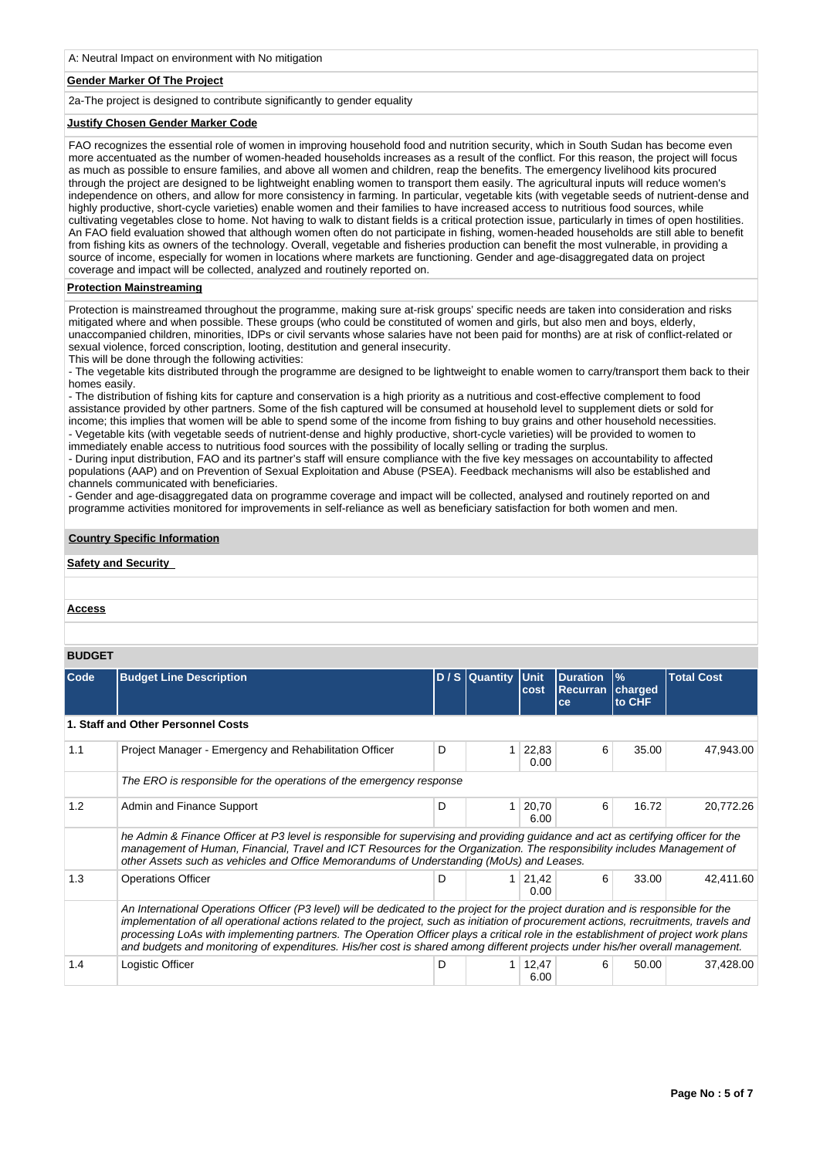### **Gender Marker Of The Project**

2a-The project is designed to contribute significantly to gender equality

### **Justify Chosen Gender Marker Code**

FAO recognizes the essential role of women in improving household food and nutrition security, which in South Sudan has become even more accentuated as the number of women-headed households increases as a result of the conflict. For this reason, the project will focus as much as possible to ensure families, and above all women and children, reap the benefits. The emergency livelihood kits procured through the project are designed to be lightweight enabling women to transport them easily. The agricultural inputs will reduce women's independence on others, and allow for more consistency in farming. In particular, vegetable kits (with vegetable seeds of nutrient-dense and highly productive, short-cycle varieties) enable women and their families to have increased access to nutritious food sources, while cultivating vegetables close to home. Not having to walk to distant fields is a critical protection issue, particularly in times of open hostilities. An FAO field evaluation showed that although women often do not participate in fishing, women-headed households are still able to benefit from fishing kits as owners of the technology. Overall, vegetable and fisheries production can benefit the most vulnerable, in providing a source of income, especially for women in locations where markets are functioning. Gender and age-disaggregated data on project coverage and impact will be collected, analyzed and routinely reported on.

## **Protection Mainstreaming**

Protection is mainstreamed throughout the programme, making sure at-risk groups' specific needs are taken into consideration and risks mitigated where and when possible. These groups (who could be constituted of women and girls, but also men and boys, elderly, unaccompanied children, minorities, IDPs or civil servants whose salaries have not been paid for months) are at risk of conflict-related or sexual violence, forced conscription, looting, destitution and general insecurity.

This will be done through the following activities:

- The vegetable kits distributed through the programme are designed to be lightweight to enable women to carry/transport them back to their homes easily.

- The distribution of fishing kits for capture and conservation is a high priority as a nutritious and cost-effective complement to food assistance provided by other partners. Some of the fish captured will be consumed at household level to supplement diets or sold for income; this implies that women will be able to spend some of the income from fishing to buy grains and other household necessities. - Vegetable kits (with vegetable seeds of nutrient-dense and highly productive, short-cycle varieties) will be provided to women to

immediately enable access to nutritious food sources with the possibility of locally selling or trading the surplus.

- During input distribution, FAO and its partner's staff will ensure compliance with the five key messages on accountability to affected populations (AAP) and on Prevention of Sexual Exploitation and Abuse (PSEA). Feedback mechanisms will also be established and channels communicated with beneficiaries.

- Gender and age-disaggregated data on programme coverage and impact will be collected, analysed and routinely reported on and programme activities monitored for improvements in self-reliance as well as beneficiary satisfaction for both women and men.

## **Country Specific Information**

### **Safety and Security**

### **Access**

### **BUDGET**

| Code | <b>Budget Line Description</b>                                                                                                                                                                                                                                                                                                                                                                                                                                                                                                                       |   | D/S Quantity Unit | cost                | <b>Duration</b><br><b>Recurran</b><br>ce | $\frac{9}{6}$<br>charged<br>to CHF | <b>Total Cost</b> |
|------|------------------------------------------------------------------------------------------------------------------------------------------------------------------------------------------------------------------------------------------------------------------------------------------------------------------------------------------------------------------------------------------------------------------------------------------------------------------------------------------------------------------------------------------------------|---|-------------------|---------------------|------------------------------------------|------------------------------------|-------------------|
|      | 1. Staff and Other Personnel Costs                                                                                                                                                                                                                                                                                                                                                                                                                                                                                                                   |   |                   |                     |                                          |                                    |                   |
| 1.1  | Project Manager - Emergency and Rehabilitation Officer                                                                                                                                                                                                                                                                                                                                                                                                                                                                                               | D | 1                 | 22,83<br>0.00       | 6                                        | 35.00                              | 47,943.00         |
|      | The ERO is responsible for the operations of the emergency response                                                                                                                                                                                                                                                                                                                                                                                                                                                                                  |   |                   |                     |                                          |                                    |                   |
| 1.2  | Admin and Finance Support                                                                                                                                                                                                                                                                                                                                                                                                                                                                                                                            | D | 1 <sup>1</sup>    | 20,70<br>6.00       | 6                                        | 16.72                              | 20,772.26         |
|      | he Admin & Finance Officer at P3 level is responsible for supervising and providing guidance and act as certifying officer for the<br>management of Human, Financial, Travel and ICT Resources for the Organization. The responsibility includes Management of<br>other Assets such as vehicles and Office Memorandums of Understanding (MoUs) and Leases.                                                                                                                                                                                           |   |                   |                     |                                          |                                    |                   |
| 1.3  | <b>Operations Officer</b>                                                                                                                                                                                                                                                                                                                                                                                                                                                                                                                            | D |                   | $1 \ 21,42$<br>0.00 | 6                                        | 33.00                              | 42,411.60         |
|      | An International Operations Officer (P3 level) will be dedicated to the project for the project duration and is responsible for the<br>implementation of all operational actions related to the project, such as initiation of procurement actions, recruitments, travels and<br>processing LoAs with implementing partners. The Operation Officer plays a critical role in the establishment of project work plans<br>and budgets and monitoring of expenditures. His/her cost is shared among different projects under his/her overall management. |   |                   |                     |                                          |                                    |                   |
| 1.4  | Logistic Officer                                                                                                                                                                                                                                                                                                                                                                                                                                                                                                                                     | D | 1 <sup>1</sup>    | 12,47<br>6.00       | 6                                        | 50.00                              | 37,428.00         |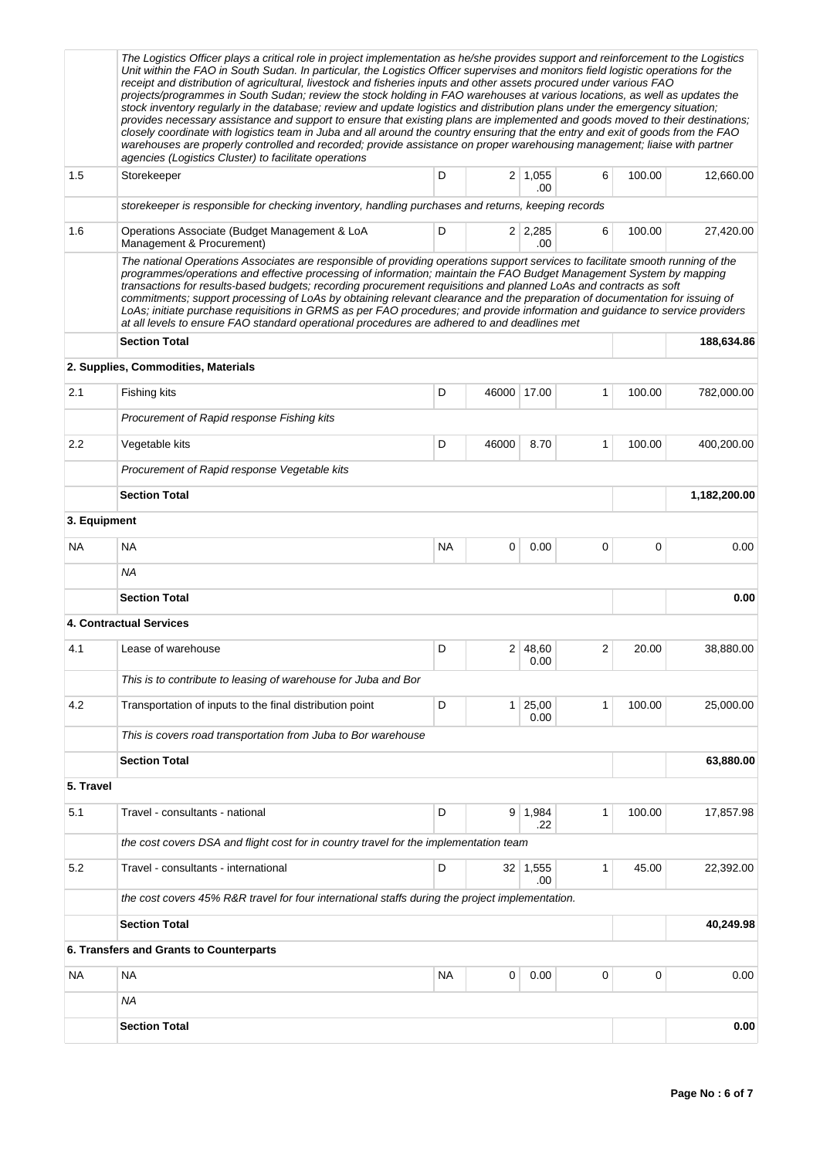|              | The Logistics Officer plays a critical role in project implementation as he/she provides support and reinforcement to the Logistics<br>Unit within the FAO in South Sudan. In particular, the Logistics Officer supervises and monitors field logistic operations for the<br>receipt and distribution of agricultural, livestock and fisheries inputs and other assets procured under various FAO                                                                                                                                                                                                                                                                                                                                           |           |             |                       |   |        |              |  |  |  |
|--------------|---------------------------------------------------------------------------------------------------------------------------------------------------------------------------------------------------------------------------------------------------------------------------------------------------------------------------------------------------------------------------------------------------------------------------------------------------------------------------------------------------------------------------------------------------------------------------------------------------------------------------------------------------------------------------------------------------------------------------------------------|-----------|-------------|-----------------------|---|--------|--------------|--|--|--|
|              | projects/programmes in South Sudan; review the stock holding in FAO warehouses at various locations, as well as updates the<br>stock inventory regularly in the database; review and update logistics and distribution plans under the emergency situation;<br>provides necessary assistance and support to ensure that existing plans are implemented and goods moved to their destinations;<br>closely coordinate with logistics team in Juba and all around the country ensuring that the entry and exit of goods from the FAO<br>warehouses are properly controlled and recorded; provide assistance on proper warehousing management; liaise with partner<br>agencies (Logistics Cluster) to facilitate operations                     |           |             |                       |   |        |              |  |  |  |
| 1.5          | Storekeeper                                                                                                                                                                                                                                                                                                                                                                                                                                                                                                                                                                                                                                                                                                                                 | D         |             | $2 \mid 1,055$<br>.00 | 6 | 100.00 | 12,660.00    |  |  |  |
|              | storekeeper is responsible for checking inventory, handling purchases and returns, keeping records                                                                                                                                                                                                                                                                                                                                                                                                                                                                                                                                                                                                                                          |           |             |                       |   |        |              |  |  |  |
| 1.6          | Operations Associate (Budget Management & LoA<br>Management & Procurement)                                                                                                                                                                                                                                                                                                                                                                                                                                                                                                                                                                                                                                                                  | D         |             | $2 \mid 2,285$<br>.00 | 6 | 100.00 | 27,420.00    |  |  |  |
|              | The national Operations Associates are responsible of providing operations support services to facilitate smooth running of the<br>programmes/operations and effective processing of information; maintain the FAO Budget Management System by mapping<br>transactions for results-based budgets; recording procurement requisitions and planned LoAs and contracts as soft<br>commitments; support processing of LoAs by obtaining relevant clearance and the preparation of documentation for issuing of<br>LoAs; initiate purchase requisitions in GRMS as per FAO procedures; and provide information and guidance to service providers<br>at all levels to ensure FAO standard operational procedures are adhered to and deadlines met |           |             |                       |   |        |              |  |  |  |
|              | <b>Section Total</b>                                                                                                                                                                                                                                                                                                                                                                                                                                                                                                                                                                                                                                                                                                                        |           |             |                       |   |        | 188,634.86   |  |  |  |
|              | 2. Supplies, Commodities, Materials                                                                                                                                                                                                                                                                                                                                                                                                                                                                                                                                                                                                                                                                                                         |           |             |                       |   |        |              |  |  |  |
| 2.1          | <b>Fishing kits</b>                                                                                                                                                                                                                                                                                                                                                                                                                                                                                                                                                                                                                                                                                                                         | D         | 46000 17.00 |                       | 1 | 100.00 | 782,000.00   |  |  |  |
|              | Procurement of Rapid response Fishing kits                                                                                                                                                                                                                                                                                                                                                                                                                                                                                                                                                                                                                                                                                                  |           |             |                       |   |        |              |  |  |  |
| $2.2\,$      | Vegetable kits                                                                                                                                                                                                                                                                                                                                                                                                                                                                                                                                                                                                                                                                                                                              | D         | 46000       | 8.70                  | 1 | 100.00 | 400,200.00   |  |  |  |
|              | Procurement of Rapid response Vegetable kits                                                                                                                                                                                                                                                                                                                                                                                                                                                                                                                                                                                                                                                                                                |           |             |                       |   |        |              |  |  |  |
|              | <b>Section Total</b>                                                                                                                                                                                                                                                                                                                                                                                                                                                                                                                                                                                                                                                                                                                        |           |             |                       |   |        | 1,182,200.00 |  |  |  |
| 3. Equipment |                                                                                                                                                                                                                                                                                                                                                                                                                                                                                                                                                                                                                                                                                                                                             |           |             |                       |   |        |              |  |  |  |
| NA.          | <b>NA</b>                                                                                                                                                                                                                                                                                                                                                                                                                                                                                                                                                                                                                                                                                                                                   | <b>NA</b> | 0           | 0.00                  | 0 | 0      | 0.00         |  |  |  |
|              | NA                                                                                                                                                                                                                                                                                                                                                                                                                                                                                                                                                                                                                                                                                                                                          |           |             |                       |   |        |              |  |  |  |
|              | <b>Section Total</b>                                                                                                                                                                                                                                                                                                                                                                                                                                                                                                                                                                                                                                                                                                                        |           |             |                       |   |        | 0.00         |  |  |  |
|              | <b>4. Contractual Services</b>                                                                                                                                                                                                                                                                                                                                                                                                                                                                                                                                                                                                                                                                                                              |           |             |                       |   |        |              |  |  |  |
| 4.1          | Lease of warehouse                                                                                                                                                                                                                                                                                                                                                                                                                                                                                                                                                                                                                                                                                                                          | D         |             | 2 48,60<br>0.00       | 2 | 20.00  | 38,880.00    |  |  |  |
|              | This is to contribute to leasing of warehouse for Juba and Bor                                                                                                                                                                                                                                                                                                                                                                                                                                                                                                                                                                                                                                                                              |           |             |                       |   |        |              |  |  |  |
| 4.2          | Transportation of inputs to the final distribution point                                                                                                                                                                                                                                                                                                                                                                                                                                                                                                                                                                                                                                                                                    | D         | 1           | 25,00<br>0.00         | 1 | 100.00 | 25,000.00    |  |  |  |
|              | This is covers road transportation from Juba to Bor warehouse                                                                                                                                                                                                                                                                                                                                                                                                                                                                                                                                                                                                                                                                               |           |             |                       |   |        |              |  |  |  |
|              | <b>Section Total</b>                                                                                                                                                                                                                                                                                                                                                                                                                                                                                                                                                                                                                                                                                                                        |           |             |                       |   |        | 63,880.00    |  |  |  |
| 5. Travel    |                                                                                                                                                                                                                                                                                                                                                                                                                                                                                                                                                                                                                                                                                                                                             |           |             |                       |   |        |              |  |  |  |
| 5.1          | Travel - consultants - national                                                                                                                                                                                                                                                                                                                                                                                                                                                                                                                                                                                                                                                                                                             | D         |             | 9 1,984<br>.22        | 1 | 100.00 | 17,857.98    |  |  |  |
|              | the cost covers DSA and flight cost for in country travel for the implementation team                                                                                                                                                                                                                                                                                                                                                                                                                                                                                                                                                                                                                                                       |           |             |                       |   |        |              |  |  |  |
| 5.2          | Travel - consultants - international                                                                                                                                                                                                                                                                                                                                                                                                                                                                                                                                                                                                                                                                                                        | D         |             | 32 1,555<br>.00.      | 1 | 45.00  | 22,392.00    |  |  |  |
|              | the cost covers 45% R&R travel for four international staffs during the project implementation.                                                                                                                                                                                                                                                                                                                                                                                                                                                                                                                                                                                                                                             |           |             |                       |   |        |              |  |  |  |
|              | <b>Section Total</b>                                                                                                                                                                                                                                                                                                                                                                                                                                                                                                                                                                                                                                                                                                                        |           |             |                       |   |        | 40,249.98    |  |  |  |
|              | 6. Transfers and Grants to Counterparts                                                                                                                                                                                                                                                                                                                                                                                                                                                                                                                                                                                                                                                                                                     |           |             |                       |   |        |              |  |  |  |
| ΝA           | <b>NA</b>                                                                                                                                                                                                                                                                                                                                                                                                                                                                                                                                                                                                                                                                                                                                   | <b>NA</b> | 0           | 0.00                  | 0 | 0      | 0.00         |  |  |  |
|              | ΝA                                                                                                                                                                                                                                                                                                                                                                                                                                                                                                                                                                                                                                                                                                                                          |           |             |                       |   |        |              |  |  |  |
|              | <b>Section Total</b>                                                                                                                                                                                                                                                                                                                                                                                                                                                                                                                                                                                                                                                                                                                        |           |             |                       |   |        | 0.00         |  |  |  |